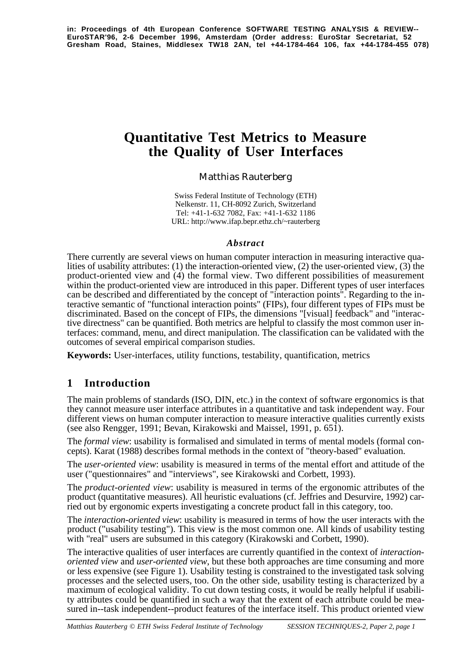# **Quantitative Test Metrics to Measure the Quality of User Interfaces**

#### Matthias Rauterberg

Swiss Federal Institute of Technology (ETH) Nelkenstr. 11, CH-8092 Zurich, Switzerland Tel: +41-1-632 7082, Fax: +41-1-632 1186 URL: http://www.ifap.bepr.ethz.ch/~rauterberg

#### *Abstract*

There currently are several views on human computer interaction in measuring interactive qualities of usability attributes: (1) the interaction-oriented view, (2) the user-oriented view, (3) the product-oriented view and (4) the formal view. Two different possibilities of measurement within the product-oriented view are introduced in this paper. Different types of user interfaces can be described and differentiated by the concept of "interaction points". Regarding to the interactive semantic of "functional interaction points" (FIPs), four different types of FIPs must be discriminated. Based on the concept of FIPs, the dimensions "[visual] feedback" and "interactive directness" can be quantified. Both metrics are helpful to classify the most common user interfaces: command, menu, and direct manipulation. The classification can be validated with the outcomes of several empirical comparison studies.

**Keywords:** User-interfaces, utility functions, testability, quantification, metrics

## **1 Introduction**

The main problems of standards (ISO, DIN, etc.) in the context of software ergonomics is that they cannot measure user interface attributes in a quantitative and task independent way. Four different views on human computer interaction to measure interactive qualities currently exists (see also Rengger, 1991; Bevan, Kirakowski and Maissel, 1991, p. 651).

The *formal view*: usability is formalised and simulated in terms of mental models (formal concepts). Karat (1988) describes formal methods in the context of "theory-based" evaluation.

The *user-oriented view*: usability is measured in terms of the mental effort and attitude of the user ("questionnaires" and "interviews", see Kirakowski and Corbett, 1993).

The *product-oriented view*: usability is measured in terms of the ergonomic attributes of the product (quantitative measures). All heuristic evaluations (cf. Jeffries and Desurvire, 1992) carried out by ergonomic experts investigating a concrete product fall in this category, too.

The *interaction-oriented view*: usability is measured in terms of how the user interacts with the product ("usability testing"). This view is the most common one. All kinds of usability testing with "real" users are subsumed in this category (Kirakowski and Corbett, 1990).

The interactive qualities of user interfaces are currently quantified in the context of *interactionoriented view* and *user-oriented view*, but these both approaches are time consuming and more or less expensive (see Figure 1). Usability testing is constrained to the investigated task solving processes and the selected users, too. On the other side, usability testing is characterized by a maximum of ecological validity. To cut down testing costs, it would be really helpful if usability attributes could be quantified in such a way that the extent of each attribute could be measured in--task independent--product features of the interface itself. This product oriented view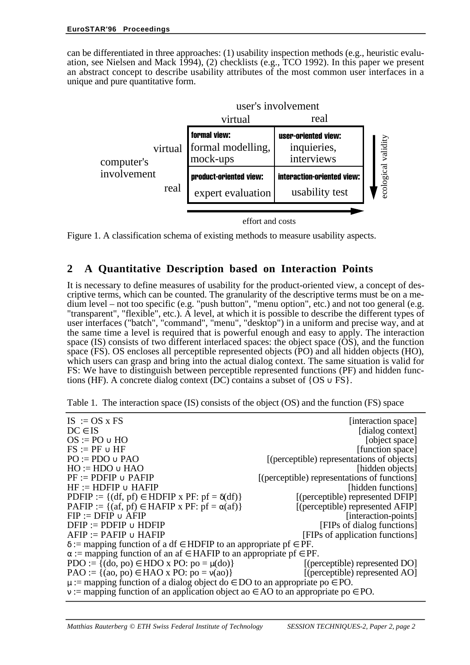can be differentiated in three approaches: (1) usability inspection methods (e.g., heuristic evaluation, see Nielsen and Mack 1994), (2) checklists (e.g., TCO 1992). In this paper we present an abstract concept to describe usability attributes of the most common user interfaces in a unique and pure quantitative form.



Figure 1. A classification schema of existing methods to measure usability aspects.

#### **2 A Quantitative Description based on Interaction Points**

It is necessary to define measures of usability for the product-oriented view, a concept of descriptive terms, which can be counted. The granularity of the descriptive terms must be on a medium level – not too specific (e.g. "push button", "menu option", etc.) and not too general (e.g. "transparent", "flexible", etc.). A level, at which it is possible to describe the different types of user interfaces ("batch", "command", "menu", "desktop") in a uniform and precise way, and at the same time a level is required that is powerful enough and easy to apply. The interaction space (IS) consists of two different interlaced spaces: the object space  $(\overrightarrow{OS})$ , and the function space (FS). OS encloses all perceptible represented objects (PO) and all hidden objects (HO), which users can grasp and bring into the actual dialog context. The same situation is valid for FS: We have to distinguish between perceptible represented functions (PF) and hidden functions (HF). A concrete dialog context (DC) contains a subset of  $\{OS \cup FS\}$ .

| $IS := OS \times FS$                                                                        | [interaction space]                          |  |  |  |
|---------------------------------------------------------------------------------------------|----------------------------------------------|--|--|--|
| $DC \in IS$                                                                                 | [dialog context]                             |  |  |  |
| $OS := PO \cup HO$                                                                          | [object space]                               |  |  |  |
| $FS := PF \cup HF$                                                                          | [function space]                             |  |  |  |
| $PO := PDO \cup PAO$                                                                        | [(perceptible) representations of objects]   |  |  |  |
| $HO := HDO \cup HAO$                                                                        | [hidden objects]                             |  |  |  |
| $PF := PDFIP \cup PAFIP$                                                                    | [(perceptible) representations of functions] |  |  |  |
| $HF := HDFIP \cup HAFIP$                                                                    | [hidden functions]                           |  |  |  |
| PDFIP := { $(df, pf) \in HDFIP x PF: pf = \delta(df)$ }                                     | [(perceptible) represented DFIP]             |  |  |  |
| PAFIP := { $(af, pf) \in HAFIP x PF: pf = \alpha(af)$ }                                     | [(perceptible) represented AFIP]             |  |  |  |
| $FIP := DFTP \cup AFIP$                                                                     | [interaction-points]                         |  |  |  |
| $DFIP := PDFIP \cup HDFIP$                                                                  | [FIPs of dialog functions]                   |  |  |  |
| $AFIP := PAFIP \cup HAFIP$                                                                  | [FIPs of application functions]              |  |  |  |
| $\delta$ := mapping function of a df $\epsilon$ HDFIP to an appropriate pf $\epsilon$ PF.   |                                              |  |  |  |
| $\alpha$ := mapping function of an af $\in$ HAFIP to an appropriate pf $\in$ PF.            |                                              |  |  |  |
| PDO := { $(do, po) \in HDO x PO$ : $po = \mu(do)$ }                                         | [(perceptible) represented DO]               |  |  |  |
| $PAO := \{(ao, po) \in HAO \times PO: po = v(ao)\}\$                                        | $[$ (perceptible) represented AO $]$         |  |  |  |
| $\mu$ := mapping function of a dialog object do $\in$ DO to an appropriate po $\in$ PO.     |                                              |  |  |  |
| $v :=$ mapping function of an application object ao $\in$ AO to an appropriate po $\in$ PO. |                                              |  |  |  |
|                                                                                             |                                              |  |  |  |

Table 1. The interaction space (IS) consists of the object (OS) and the function (FS) space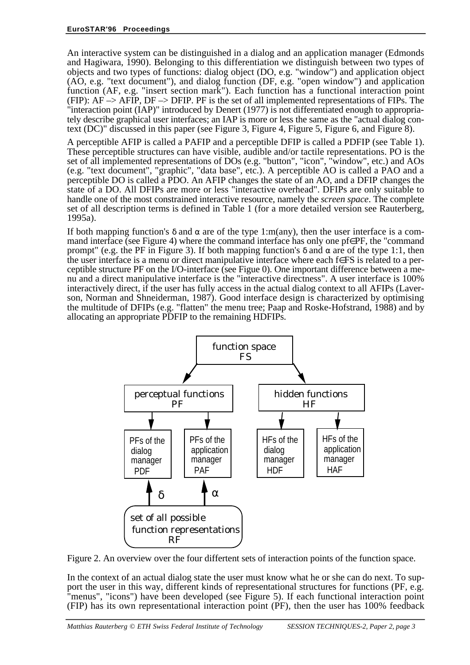An interactive system can be distinguished in a dialog and an application manager (Edmonds and Hagiwara, 1990). Belonging to this differentiation we distinguish between two types of objects and two types of functions: dialog object (DO, e.g. "window") and application object (AO, e.g. "text document"), and dialog function (DF, e.g. "open window") and application function (AF, e.g. "insert section mark"). Each function has a functional interaction point (FIP):  $AF \rightarrow AFIP$ ,  $DF \rightarrow DFIP$ . PF is the set of all implemented representations of FIPs. The "interaction point (IAP)" introduced by Denert (1977) is not differentiated enough to appropriately describe graphical user interfaces; an IAP is more or less the same as the "actual dialog context (DC)" discussed in this paper (see Figure 3, Figure 4, Figure 5, Figure 6, and Figure 8).

A perceptible AFIP is called a PAFIP and a perceptible DFIP is called a PDFIP (see Table 1). These perceptible structures can have visible, audible and/or tactile representations. PO is the set of all implemented representations of DOs (e.g. "button", "icon", "window", etc.) and AOs (e.g. "text document", "graphic", "data base", etc.). A perceptible AO is called a PAO and a perceptible DO is called a PDO. An AFIP changes the state of an AO, and a DFIP changes the state of a DO. All DFIPs are more or less "interactive overhead". DFIPs are only suitable to handle one of the most constrained interactive resource, namely the *screen space*. The complete set of all description terms is defined in Table 1 (for a more detailed version see Rauterberg, 1995a).

If both mapping function's  $\delta$  and  $\alpha$  are of the type 1:m(any), then the user interface is a command interface (see Figure 4) where the command interface has only one pf∈PF, the "command prompt" (e.g. the PF in Figure 3). If both mapping function's δ and α are of the type 1:1, then the user interface is a menu or direct manipulative interface where each f∈FS is related to a perceptible structure PF on the I/O-interface (see Figue 0). One important difference between a menu and a direct manipulative interface is the "interactive directness". A user interface is 100% interactively direct, if the user has fully access in the actual dialog context to all AFIPs (Laverson, Norman and Shneiderman, 1987). Good interface design is characterized by optimising the multitude of DFIPs (e.g. "flatten" the menu tree; Paap and Roske-Hofstrand, 1988) and by allocating an appropriate PDFIP to the remaining HDFIPs.



Figure 2. An overview over the four differtent sets of interaction points of the function space.

In the context of an actual dialog state the user must know what he or she can do next. To support the user in this way, different kinds of representational structures for functions (PF, e.g. "menus", "icons") have been developed (see Figure 5). If each functional interaction point (FIP) has its own representational interaction point (PF), then the user has 100% feedback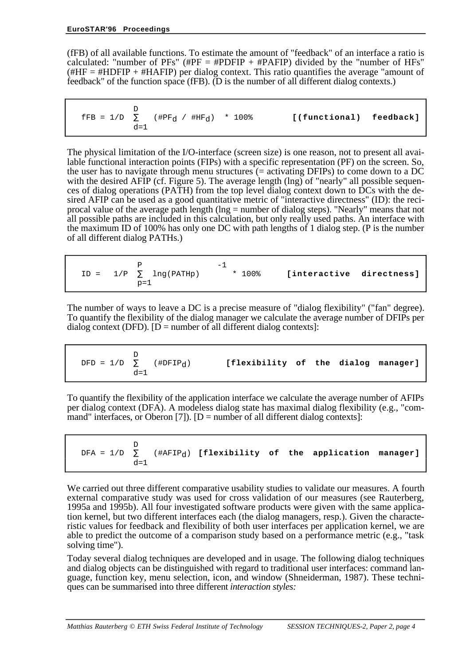(fFB) of all available functions. To estimate the amount of "feedback" of an interface a ratio is calculated: "number of PFs" (#PF = #PDFIP + #PAFIP) divided by the "number of HFs" (#HF  $=$  #HDFIP + #HAFIP) per dialog context. This ratio quantifies the average "amount of feedback" of the function space (fFB). (D is the number of all different dialog contexts.)

 D  ${\rm fFB} = 1/D \sum$  (#PF<sub>d</sub> / #HF<sub>d</sub>) \* 100% **[(functional) feedback]**  $d=1$ 

The physical limitation of the I/O-interface (screen size) is one reason, not to present all available functional interaction points (FIPs) with a specific representation (PF) on the screen. So, the user has to navigate through menu structures (= activating DFIPs) to come down to a DC with the desired AFIP (cf. Figure 5). The average length (lng) of "nearly" all possible sequences of dialog operations (PATH) from the top level dialog context down to DCs with the desired AFIP can be used as a good quantitative metric of "interactive directness" (ID): the reciprocal value of the average path length (lng = number of dialog steps). "Nearly" means that not all possible paths are included in this calculation, but only really used paths. An interface with the maximum ID of 100% has only one DC with path lengths of 1 dialog step. (P is the number of all different dialog PATHs.)

| $\text{ID} = \left\{ \begin{array}{cc} \text{P} & \mid & -1 \\ 1/\text{P} & \sum\limits_{\text{p}=1} \text{lng(PATHp)} \mid \\ \mid & \mid & \mid \end{array} \right.$ | * 100% | [interactive directness] |  |
|------------------------------------------------------------------------------------------------------------------------------------------------------------------------|--------|--------------------------|--|
|------------------------------------------------------------------------------------------------------------------------------------------------------------------------|--------|--------------------------|--|

The number of ways to leave a DC is a precise measure of "dialog flexibility" ("fan" degree). To quantify the flexibility of the dialog manager we calculate the average number of DFIPs per dialog context (DFD).  $[D = number of all different dialog contexts]$ :

**D**  $DFD = 1/D \sum$  (#DFIP<sub>d</sub>) **[flexibility of the dialog manager]**  $d=1$ 

To quantify the flexibility of the application interface we calculate the average number of AFIPs per dialog context (DFA). A modeless dialog state has maximal dialog flexibility (e.g., "command" interfaces, or Oberon [7]).  $[D =$  number of all different dialog contexts]:

 D DFA =  $1/D$   $\sum$  (#AFIP<sub>d</sub>) [flexibility of the application manager]  $d=1$ 

We carried out three different comparative usability studies to validate our measures. A fourth external comparative study was used for cross validation of our measures (see Rauterberg, 1995a and 1995b). All four investigated software products were given with the same application kernel, but two different interfaces each (the dialog managers, resp.). Given the characteristic values for feedback and flexibility of both user interfaces per application kernel, we are able to predict the outcome of a comparison study based on a performance metric (e.g., "task solving time").

Today several dialog techniques are developed and in usage. The following dialog techniques and dialog objects can be distinguished with regard to traditional user interfaces: command language, function key, menu selection, icon, and window (Shneiderman, 1987). These techniques can be summarised into three different *interaction styles:*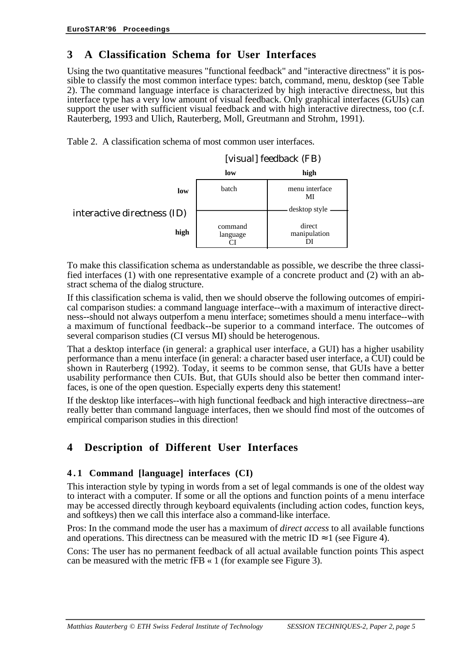## **3 A Classification Schema for User Interfaces**

Using the two quantitative measures "functional feedback" and "interactive directness" it is possible to classify the most common interface types: batch, command, menu, desktop (see Table 2). The command language interface is characterized by high interactive directness, but this interface type has a very low amount of visual feedback. Only graphical interfaces (GUIs) can support the user with sufficient visual feedback and with high interactive directness, too (c.f. Rauterberg, 1993 and Ulich, Rauterberg, Moll, Greutmann and Strohm, 1991).

Table 2. A classification schema of most common user interfaces.



To make this classification schema as understandable as possible, we describe the three classified interfaces (1) with one representative example of a concrete product and (2) with an abstract schema of the dialog structure.

If this classification schema is valid, then we should observe the following outcomes of empirical comparison studies: a command language interface--with a maximum of interactive directness--should not always outperfom a menu interface; sometimes should a menu interface--with a maximum of functional feedback--be superior to a command interface. The outcomes of several comparison studies (CI versus MI) should be heterogenous.

That a desktop interface (in general: a graphical user interface, a GUI) has a higher usability performance than a menu interface (in general: a character based user interface, a CUI) could be shown in Rauterberg (1992). Today, it seems to be common sense, that GUIs have a better usability performance then CUIs. But, that GUIs should also be better then command interfaces, is one of the open question. Especially experts deny this statement!

If the desktop like interfaces--with high functional feedback and high interactive directness--are really better than command language interfaces, then we should find most of the outcomes of empirical comparison studies in this direction!

## **4 Description of Different User Interfaces**

#### **4 . 1 Command [language] interfaces (CI)**

This interaction style by typing in words from a set of legal commands is one of the oldest way to interact with a computer. If some or all the options and function points of a menu interface may be accessed directly through keyboard equivalents (including action codes, function keys, and softkeys) then we call this interface also a command-like interface.

Pros: In the command mode the user has a maximum of *direct access* to all available functions and operations. This directness can be measured with the metric ID  $\approx 1$  (see Figure 4).

Cons: The user has no permanent feedback of all actual available function points This aspect can be measured with the metric fFB « 1 (for example see Figure 3).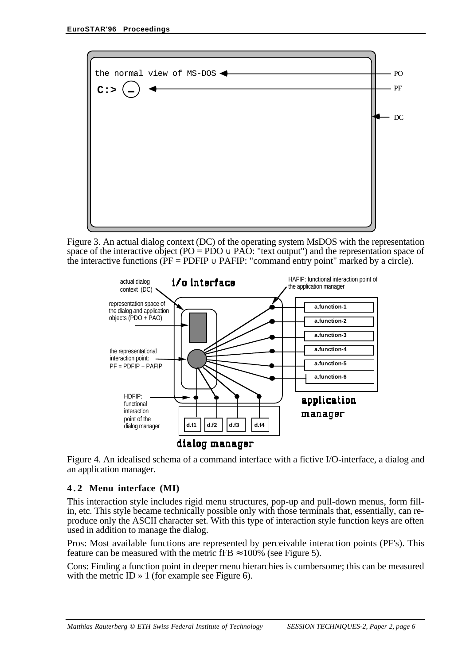

Figure 3. An actual dialog context (DC) of the operating system MsDOS with the representation space of the interactive object (PO = PDO  $\cup$  PAO: "text output") and the representation space of the interactive functions ( $\overline{PF}$  = PDFIP  $\cup$  PAFIP: "command entry point" marked by a circle).



Figure 4. An idealised schema of a command interface with a fictive I/O-interface, a dialog and an application manager.

#### **4 . 2 Menu interface (MI)**

This interaction style includes rigid menu structures, pop-up and pull-down menus, form fillin, etc. This style became technically possible only with those terminals that, essentially, can reproduce only the ASCII character set. With this type of interaction style function keys are often used in addition to manage the dialog.

Pros: Most available functions are represented by perceivable interaction points (PF's). This feature can be measured with the metric fFB  $\approx 100\%$  (see Figure 5).

Cons: Finding a function point in deeper menu hierarchies is cumbersome; this can be measured with the metric ID  $\rightarrow$  1 (for example see Figure 6).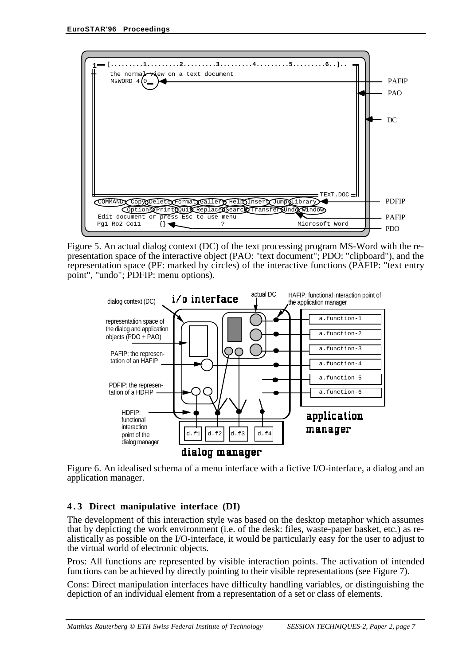

Figure 5. An actual dialog context (DC) of the text processing program MS-Word with the representation space of the interactive object (PAO: "text document"; PDO: "clipboard"), and the representation space (PF: marked by circles) of the interactive functions (PAFIP: "text entry point", "undo"; PDFIP: menu options).



Figure 6. An idealised schema of a menu interface with a fictive I/O-interface, a dialog and an application manager.

#### **4 . 3 Direct manipulative interface (DI)**

The development of this interaction style was based on the desktop metaphor which assumes that by depicting the work environment (i.e. of the desk: files, waste-paper basket, etc.) as realistically as possible on the I/O-interface, it would be particularly easy for the user to adjust to the virtual world of electronic objects.

Pros: All functions are represented by visible interaction points. The activation of intended functions can be achieved by directly pointing to their visible representations (see Figure 7).

Cons: Direct manipulation interfaces have difficulty handling variables, or distinguishing the depiction of an individual element from a representation of a set or class of elements.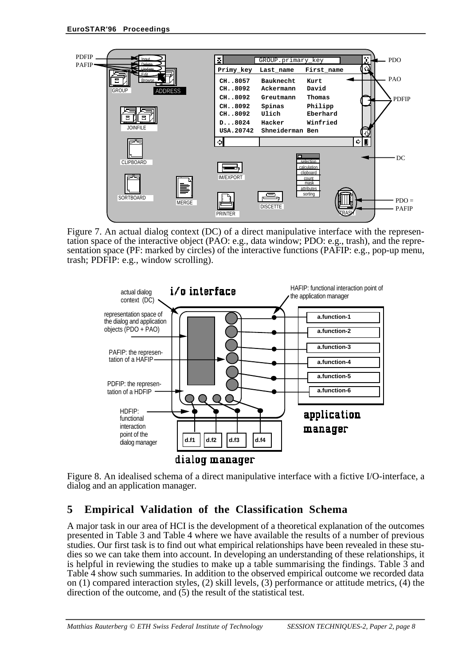

Figure 7. An actual dialog context (DC) of a direct manipulative interface with the representation space of the interactive object (PAO: e.g., data window; PDO: e.g., trash), and the representation space (PF: marked by circles) of the interactive functions (PAFIP: e.g., pop-up menu, trash; PDFIP: e.g., window scrolling).



Figure 8. An idealised schema of a direct manipulative interface with a fictive I/O-interface, a dialog and an application manager.

## **5 Empirical Validation of the Classification Schema**

A major task in our area of HCI is the development of a theoretical explanation of the outcomes presented in Table 3 and Table 4 where we have available the results of a number of previous studies. Our first task is to find out what empirical relationships have been revealed in these studies so we can take them into account. In developing an understanding of these relationships, it is helpful in reviewing the studies to make up a table summarising the findings. Table 3 and Table 4 show such summaries. In addition to the observed empirical outcome we recorded data on (1) compared interaction styles, (2) skill levels, (3) performance or attitude metrics, (4) the direction of the outcome, and (5) the result of the statistical test.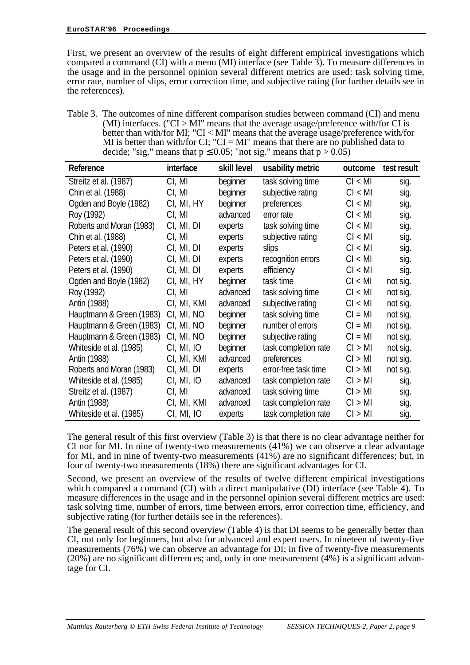First, we present an overview of the results of eight different empirical investigations which compared a command (CI) with a menu (MI) interface (see Table 3). To measure differences in the usage and in the personnel opinion several different metrics are used: task solving time, error rate, number of slips, error correction time, and subjective rating (for further details see in the references).

Table 3. The outcomes of nine different comparison studies between command (CI) and menu (MI) interfaces. (" $CI > MI$ " means that the average usage/preference with/for CI is better than with/for MI; "CI < MI" means that the average usage/preference with/for MI is better than with/for CI; "CI = MI" means that there are no published data to decide; "sig." means that  $p \le 0.05$ ; "not sig." means that  $p > 0.05$ )

| Reference                | interface   | skill level | usability metric     | outcome   | test result |
|--------------------------|-------------|-------------|----------------------|-----------|-------------|
| Streitz et al. (1987)    | CI, MI      | beginner    | task solving time    | Cl < M1   | sig.        |
| Chin et al. (1988)       | CI, MI      | beginner    | subjective rating    | Cl < MI   | sig.        |
| Ogden and Boyle (1982)   | CI, MI, HY  | beginner    | preferences          | Cl < MI   | sig.        |
| Roy (1992)               | CI, MI      | advanced    | error rate           | Cl < MI   | sig.        |
| Roberts and Moran (1983) | CI, MI, DI  | experts     | task solving time    | Cl < MI   | sig.        |
| Chin et al. (1988)       | CI, MI      | experts     | subjective rating    | Cl < MI   | sig.        |
| Peters et al. (1990)     | CI, MI, DI  | experts     | slips                | CI < MI   | sig.        |
| Peters et al. (1990)     | CI, MI, DI  | experts     | recognition errors   | Cl < MI   | sig.        |
| Peters et al. (1990)     | CI, MI, DI  | experts     | efficiency           | CI < MI   | sig.        |
| Ogden and Boyle (1982)   | CI, MI, HY  | beginner    | task time            | CI < MI   | not sig.    |
| Roy (1992)               | CI, MI      | advanced    | task solving time    | Cl < MI   | not sig.    |
| Antin (1988)             | CI, MI, KMI | advanced    | subjective rating    | Cl < MI   | not sig.    |
| Hauptmann & Green (1983) | CI, MI, NO  | beginner    | task solving time    | $CI = MI$ | not sig.    |
| Hauptmann & Green (1983) | CI, MI, NO  | beginner    | number of errors     | $CI = MI$ | not sig.    |
| Hauptmann & Green (1983) | CI, MI, NO  | beginner    | subjective rating    | $CI = MI$ | not sig.    |
| Whiteside et al. (1985)  | CI, MI, IO  | beginner    | task completion rate | CI > MI   | not sig.    |
| Antin (1988)             | CI, MI, KMI | advanced    | preferences          | CI > MI   | not sig.    |
| Roberts and Moran (1983) | CI, MI, DI  | experts     | error-free task time | CI > MI   | not sig.    |
| Whiteside et al. (1985)  | CI, MI, IO  | advanced    | task completion rate | CI > MI   | sig.        |
| Streitz et al. (1987)    | CI, MI      | advanced    | task solving time    | CI > MI   | sig.        |
| Antin (1988)             | CI, MI, KMI | advanced    | task completion rate | CI > MI   | sig.        |
| Whiteside et al. (1985)  | CI, MI, IO  | experts     | task completion rate | CI > MI   | sig.        |

The general result of this first overview (Table 3) is that there is no clear advantage neither for CI nor for MI. In nine of twenty-two measurements (41%) we can observe a clear advantage for MI, and in nine of twenty-two measurements (41%) are no significant differences; but, in four of twenty-two measurements (18%) there are significant advantages for CI.

Second, we present an overview of the results of twelve different empirical investigations which compared a command (CI) with a direct manipulative (DI) interface (see Table 4). To measure differences in the usage and in the personnel opinion several different metrics are used: task solving time, number of errors, time between errors, error correction time, efficiency, and subjective rating (for further details see in the references).

The general result of this second overview (Table 4) is that DI seems to be generally better than CI, not only for beginners, but also for advanced and expert users. In nineteen of twenty-five measurements (76%) we can observe an advantage for  $D\hat{l}$ ; in five of twenty-five measurements (20%) are no significant differences; and, only in one measurement (4%) is a significant advantage for CI.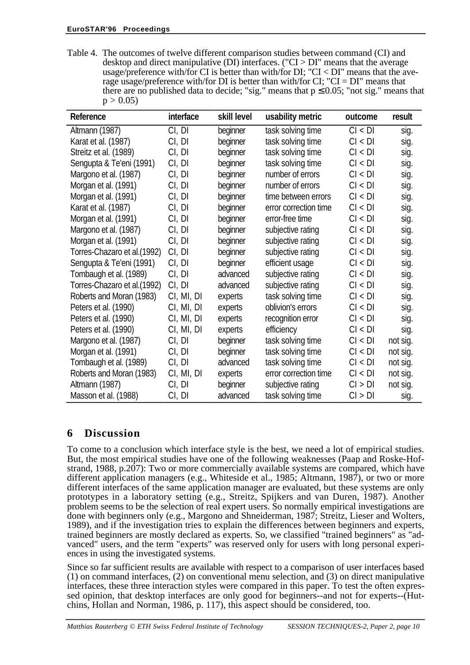Table 4. The outcomes of twelve different comparison studies between command (CI) and desktop and direct manipulative (DI) interfaces. ("CI > DI" means that the average usage/preference with/for CI is better than with/for DI; "CI < DI" means that the average usage/preference with/for DI is better than with/for CI; "CI = DI" means that there are no published data to decide; "sig." means that  $p \le 0.05$ ; "not sig." means that  $p > 0.05$ 

| Reference                    | interface  | skill level | usability metric      | outcome | result   |
|------------------------------|------------|-------------|-----------------------|---------|----------|
| Altmann (1987)               | CI, DI     | beginner    | task solving time     | CI < DI | sig.     |
| Karat et al. (1987)          | CI, DI     | beginner    | task solving time     | CI < DI | sig.     |
| Streitz et al. (1989)        | CI, DI     | beginner    | task solving time     | CI < DI | sig.     |
| Sengupta & Te'eni (1991)     | CI, DI     | beginner    | task solving time     | CI < DI | sig.     |
| Margono et al. (1987)        | CI, DI     | beginner    | number of errors      | CI < DI | sig.     |
| Morgan et al. (1991)         | CI, DI     | beginner    | number of errors      | Cl < DI | sig.     |
| Morgan et al. (1991)         | CI, DI     | beginner    | time between errors   | CI < DI | sig.     |
| Karat et al. (1987)          | CI, DI     | beginner    | error correction time | Cl < DI | sig.     |
| Morgan et al. (1991)         | CI, DI     | beginner    | error-free time       | CI < DI | sig.     |
| Margono et al. (1987)        | CI, DI     | beginner    | subjective rating     | Cl < DI | sig.     |
| Morgan et al. (1991)         | CI, DI     | beginner    | subjective rating     | Cl < DI | sig.     |
| Torres-Chazaro et al. (1992) | CI, DI     | beginner    | subjective rating     | Cl < DI | sig.     |
| Sengupta & Te'eni (1991)     | CI, DI     | beginner    | efficient usage       | Cl < DI | sig.     |
| Tombaugh et al. (1989)       | CI, DI     | advanced    | subjective rating     | Cl < DI | sig.     |
| Torres-Chazaro et al. (1992) | CI, DI     | advanced    | subjective rating     | Cl < DI | sig.     |
| Roberts and Moran (1983)     | CI, MI, DI | experts     | task solving time     | Cl < DI | sig.     |
| Peters et al. (1990)         | CI, MI, DI | experts     | oblivion's errors     | CI < DI | sig.     |
| Peters et al. (1990)         | CI, MI, DI | experts     | recognition error     | CI < DI | sig.     |
| Peters et al. (1990)         | CI, MI, DI | experts     | efficiency            | CI < DI | sig.     |
| Margono et al. (1987)        | CI, DI     | beginner    | task solving time     | Cl < DI | not sig. |
| Morgan et al. (1991)         | CI, DI     | beginner    | task solving time     | CI < DI | not sig. |
| Tombaugh et al. (1989)       | CI, DI     | advanced    | task solving time     | Cl < DI | not sig. |
| Roberts and Moran (1983)     | CI, MI, DI | experts     | error correction time | CI < DI | not sig. |
| Altmann (1987)               | CI, DI     | beginner    | subjective rating     | Cl > DI | not sig. |
| Masson et al. (1988)         | CI, DI     | advanced    | task solving time     | CI > DI | sig.     |

## **6 Discussion**

To come to a conclusion which interface style is the best, we need a lot of empirical studies. But, the most empirical studies have one of the following weaknesses (Paap and Roske-Hofstrand, 1988, p.207): Two or more commercially available systems are compared, which have different application managers (e.g., Whiteside et al., 1985; Altmann, 1987), or two or more different interfaces of the same application manager are evaluated, but these systems are only prototypes in a laboratory setting (e.g., Streitz, Spijkers and van Duren, 1987). Another problem seems to be the selection of real expert users. So normally empirical investigations are done with beginners only (e.g., Margono and Shneiderman, 1987; Streitz, Lieser and Wolters, 1989), and if the investigation tries to explain the differences between beginners and experts, trained beginners are mostly declared as experts. So, we classified "trained beginners" as "advanced" users, and the term "experts" was reserved only for users with long personal experiences in using the investigated systems.

Since so far sufficient results are available with respect to a comparison of user interfaces based (1) on command interfaces, (2) on conventional menu selection, and (3) on direct manipulative interfaces, these three interaction styles were compared in this paper. To test the often expressed opinion, that desktop interfaces are only good for beginners--and not for experts--(Hutchins, Hollan and Norman, 1986, p. 117), this aspect should be considered, too.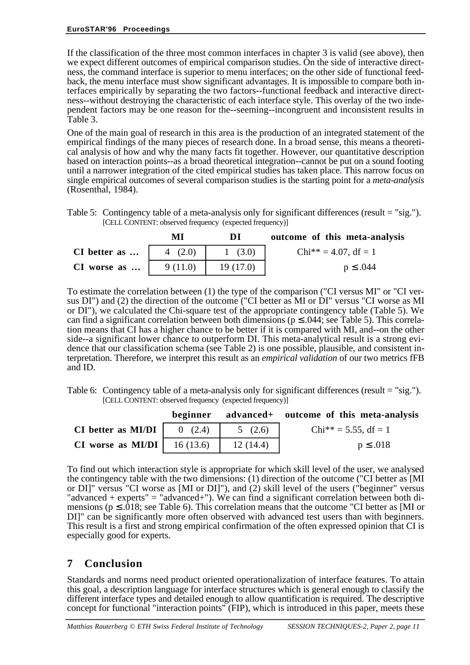If the classification of the three most common interfaces in chapter 3 is valid (see above), then we expect different outcomes of empirical comparison studies. On the side of interactive directness, the command interface is superior to menu interfaces; on the other side of functional feedback, the menu interface must show significant advantages. It is impossible to compare both interfaces empirically by separating the two factors--functional feedback and interactive directness--without destroying the characteristic of each interface style. This overlay of the two independent factors may be one reason for the--seeming--incongruent and inconsistent results in Table 3.

One of the main goal of research in this area is the production of an integrated statement of the empirical findings of the many pieces of research done. In a broad sense, this means a theoretical analysis of how and why the many facts fit together. However, our quantitative description based on interaction points--as a broad theoretical integration--cannot be put on a sound footing until a narrower integration of the cited empirical studies has taken place. This narrow focus on single empirical outcomes of several comparison studies is the starting point for a *meta-analysis* (Rosenthal, 1984).

Table 5: Contingency table of a meta-analysis only for significant differences (result = "sig."). [CELL CONTENT: observed frequency (expected frequency)]

|               | мı      | ĐI       | outcome of this meta-analysis |
|---------------|---------|----------|-------------------------------|
| CI better as  | 4(2.0)  | 1(3.0)   | $Chi^{**} = 4.07$ , df = 1    |
| $CI$ worse as | 9(11.0) | 19(17.0) | $p \leq .044$                 |

To estimate the correlation between (1) the type of the comparison ("CI versus MI" or "CI versus DI") and (2) the direction of the outcome ("CI better as MI or DI" versus "CI worse as MI or DI"), we calculated the Chi-square test of the appropriate contingency table (Table 5). We can find a significant correlation between both dimensions ( $p \le 0.044$ ; see Table 5). This correlation means that CI has a higher chance to be better if it is compared with MI, and--on the other side--a significant lower chance to outperform DI. This meta-analytical result is a strong evidence that our classification schema (see Table 2) is one possible, plausible, and consistent interpretation. Therefore, we interpret this result as an *empirical validation* of our two metrics fFB and ID.

Table 6: Contingency table of a meta-analysis only for significant differences (result = "sig."). [CELL CONTENT: observed frequency (expected frequency)]

|                                             |          | beginner advanced+ outcome of this meta-analysis |
|---------------------------------------------|----------|--------------------------------------------------|
| CI better as MI/DI $\vert$ 0 (2.4)          | 5(2.6)   | $Chi^{**} = 5.55$ , df = 1                       |
| <b>CI</b> worse as <b>MI/DI</b>   16 (13.6) | 12(14.4) | $p \leq .018$                                    |

To find out which interaction style is appropriate for which skill level of the user, we analysed the contingency table with the two dimensions: (1) direction of the outcome ("CI better as [MI or DI]" versus "CI worse as [MI or DI]"), and (2) skill level of the users ("beginner" versus "advanced  $+$  experts" = "advanced $+$ "). We can find a significant correlation between both dimensions ( $p \leq .018$ ; see Table 6). This correlation means that the outcome "CI better as [MI or DI]" can be significantly more often observed with advanced test users than with beginners. This result is a first and strong empirical confirmation of the often expressed opinion that CI is especially good for experts.

## **7 Conclusion**

Standards and norms need product oriented operationalization of interface features. To attain this goal, a description language for interface structures which is general enough to classify the different interface types and detailed enough to allow quantification is required. The descriptive concept for functional "interaction points" (FIP), which is introduced in this paper, meets these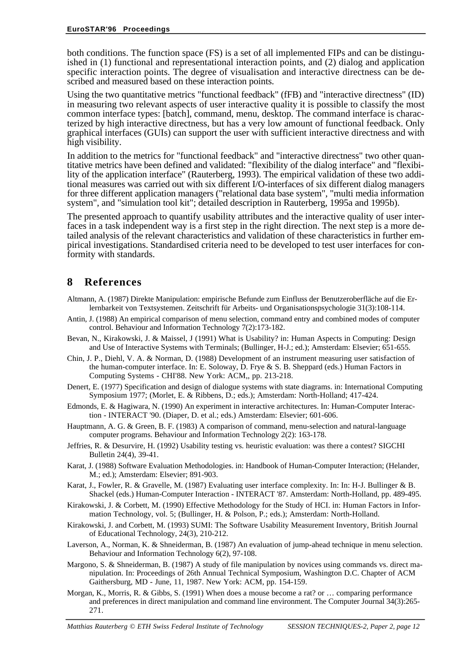both conditions. The function space (FS) is a set of all implemented FIPs and can be distinguished in (1) functional and representational interaction points, and (2) dialog and application specific interaction points. The degree of visualisation and interactive directness can be described and measured based on these interaction points.

Using the two quantitative metrics "functional feedback" (fFB) and "interactive directness" (ID) in measuring two relevant aspects of user interactive quality it is possible to classify the most common interface types: [batch], command, menu, desktop. The command interface is characterized by high interactive directness, but has a very low amount of functional feedback. Only graphical interfaces (GUIs) can support the user with sufficient interactive directness and with high visibility.

In addition to the metrics for "functional feedback" and "interactive directness" two other quantitative metrics have been defined and validated: "flexibility of the dialog interface" and "flexibility of the application interface" (Rauterberg, 1993). The empirical validation of these two additional measures was carried out with six different I/O-interfaces of six different dialog managers for three different application managers ("relational data base system", "multi media information system", and "simulation tool kit"; detailed description in Rauterberg, 1995a and 1995b).

The presented approach to quantify usability attributes and the interactive quality of user interfaces in a task independent way is a first step in the right direction. The next step is a more detailed analysis of the relevant characteristics and validation of these characteristics in further empirical investigations. Standardised criteria need to be developed to test user interfaces for conformity with standards.

### **8 References**

- Altmann, A. (1987) Direkte Manipulation: empirische Befunde zum Einfluss der Benutzeroberfläche auf die Erlernbarkeit von Textsystemen. Zeitschrift für Arbeits- und Organisationspsychologie 31(3):108-114.
- Antin, J. (1988) An empirical comparison of menu selection, command entry and combined modes of computer control. Behaviour and Information Technology 7(2):173-182.
- Bevan, N., Kirakowski, J. & Maissel, J (1991) What is Usability? in: Human Aspects in Computing: Design and Use of Interactive Systems with Terminals; (Bullinger, H-J.; ed.); Amsterdam: Elsevier; 651-655.
- Chin, J. P., Diehl, V. A. & Norman, D. (1988) Development of an instrument measuring user satisfaction of the human-computer interface. In: E. Soloway, D. Frye & S. B. Sheppard (eds.) Human Factors in Computing Systems - CHI'88. New York: ACM,, pp. 213-218.
- Denert, E. (1977) Specification and design of dialogue systems with state diagrams. in: International Computing Symposium 1977; (Morlet, E. & Ribbens, D.; eds.); Amsterdam: North-Holland; 417-424.
- Edmonds, E. & Hagiwara, N. (1990) An experiment in interactive architectures. In: Human-Computer Interaction - INTERACT '90. (Diaper, D. et al.; eds.) Amsterdam: Elsevier; 601-606.
- Hauptmann, A. G. & Green, B. F. (1983) A comparison of command, menu-selection and natural-language computer programs. Behaviour and Information Technology 2(2): 163-178.
- Jeffries, R. & Desurvire, H. (1992) Usability testing vs. heuristic evaluation: was there a contest? SIGCHI Bulletin 24(4), 39-41.
- Karat, J. (1988) Software Evaluation Methodologies. in: Handbook of Human-Computer Interaction; (Helander, M.; ed.); Amsterdam: Elsevier; 891-903.
- Karat, J., Fowler, R. & Gravelle, M. (1987) Evaluating user interface complexity. In: In: H-J. Bullinger & B. Shackel (eds.) Human-Computer Interaction - INTERACT '87. Amsterdam: North-Holland, pp. 489-495.
- Kirakowski, J. & Corbett, M. (1990) Effective Methodology for the Study of HCI. in: Human Factors in Information Technology, vol. 5; (Bullinger, H. & Polson, P.; eds.); Amsterdam: North-Holland.
- Kirakowski, J. and Corbett, M. (1993) SUMI: The Software Usability Measurement Inventory, British Journal of Educational Technology, 24(3), 210-212.
- Laverson, A., Norman, K. & Shneiderman, B. (1987) An evaluation of jump-ahead technique in menu selection. Behaviour and Information Technology 6(2), 97-108.
- Margono, S. & Shneiderman, B. (1987) A study of file manipulation by novices using commands vs. direct manipulation. In: Proceedings of 26th Annual Technical Symposium, Washington D.C. Chapter of ACM Gaithersburg, MD - June, 11, 1987. New York: ACM, pp. 154-159.
- Morgan, K., Morris, R. & Gibbs, S. (1991) When does a mouse become a rat? or … comparing performance and preferences in direct manipulation and command line environment. The Computer Journal 34(3):265- 271.